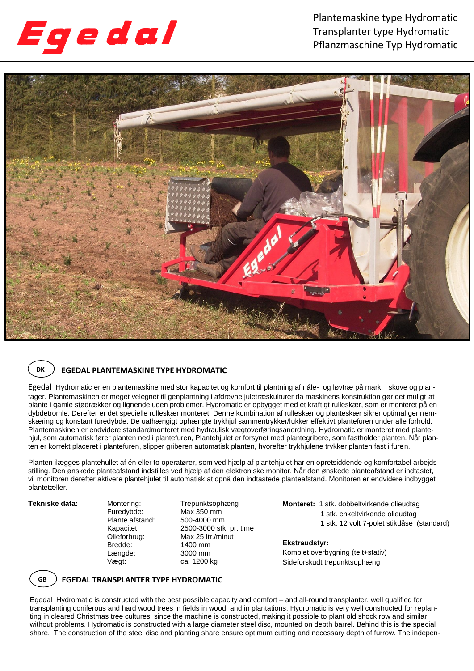

Plantemaskine type Hydromatic Transplanter type Hydromatic Pflanzmaschine Typ Hydromatic



### **DK ) EGEDAL PLANTEMASKINE TYPE HYDROMATIC**

Egedal Hydromatic er en plantemaskine med stor kapacitet og komfort til plantning af nåle- og løvtræ på mark, i skove og plantager. Plantemaskinen er meget velegnet til genplantning i afdrevne juletræskulturer da maskinens konstruktion gør det muligt at plante i gamle stødrækker og lignende uden problemer. Hydromatic er opbygget med et kraftigt rulleskær, som er monteret på en dybdetromle. Derefter er det specielle rulleskær monteret. Denne kombination af rulleskær og planteskær sikrer optimal gennemskæring og konstant furedybde. De uafhængigt ophængte trykhjul sammentrykker/lukker effektivt plantefuren under alle forhold. Plantemaskinen er endvidere standardmonteret med hydraulisk vægtoverføringsanordning. Hydromatic er monteret med plantehjul, som automatisk fører planten ned i plantefuren, Plantehjulet er forsynet med plantegribere, som fastholder planten. Når planten er korrekt placeret i plantefuren, slipper griberen automatisk planten, hvorefter trykhjulene trykker planten fast i furen.

Planten ilægges plantehullet af én eller to operatører, som ved hjælp af plantehjulet har en opretsiddende og komfortabel arbejdsstilling. Den ønskede planteafstand indstilles ved hjælp af den elektroniske monitor. Når den ønskede planteafstand er indtastet, vil monitoren derefter aktivere plantehjulet til automatisk at opnå den indtastede planteafstand. Monitoren er endvidere indbygget plantetæller.

Plante afstand:<br>Kapacitet: Bredde: 1400 mm<br>
Lænade: 3000 mm Længde:<br>Vægt:

Tekniske data: Montering: Trepunktsophæng Furedybde: Max 350 mm 2500-3000 stk. pr. time Olieforbrug: Max 25 ltr./minut ca. 1200 kg

**Monteret:** 1 stk. dobbeltvirkende olieudtag 1 stk. enkeltvirkende olieudtag 1 stk. 12 volt 7-polet stikdåse (standard)

#### Komplet overbygning (telt+stativ) **Ekstraudstyr:** Sideforskudt trepunktsophæng



# **EGEDAL TRANSPLANTER TYPE HYDROMATIC**

Egedal Hydromatic is constructed with the best possible capacity and comfort – and all-round transplanter, well qualified for transplanting coniferous and hard wood trees in fields in wood, and in plantations. Hydromatic is very well constructed for replanting in cleared Christmas tree cultures, since the machine is constructed, making it possible to plant old shock row and similar without problems. Hydromatic is constructed with a large diameter steel disc, mounted on depth barrel. Behind this is the special share. The construction of the steel disc and planting share ensure optimum cutting and necessary depth of furrow. The indepen-